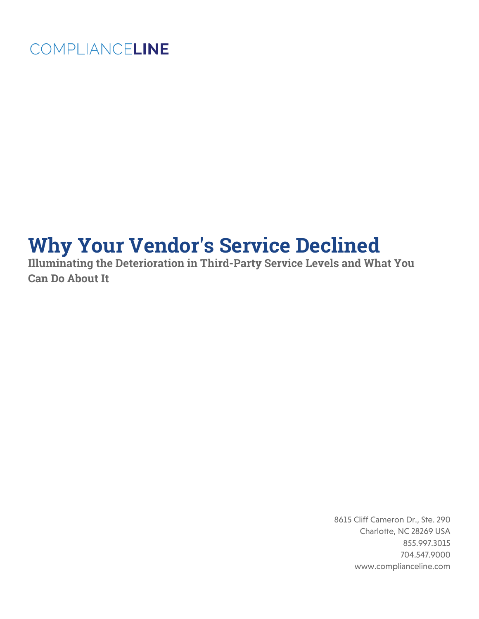## COMPLIANCELINE

# **Why Your Vendor's Service Declined**

**Illuminating the Deterioration in Third-Party Service Levels and What You Can Do About It** 

> 8615 Cliff Cameron Dr., Ste. 290 Charlotte, NC 28269 USA 855.997.3015 704.547.9000 www.complianceline.com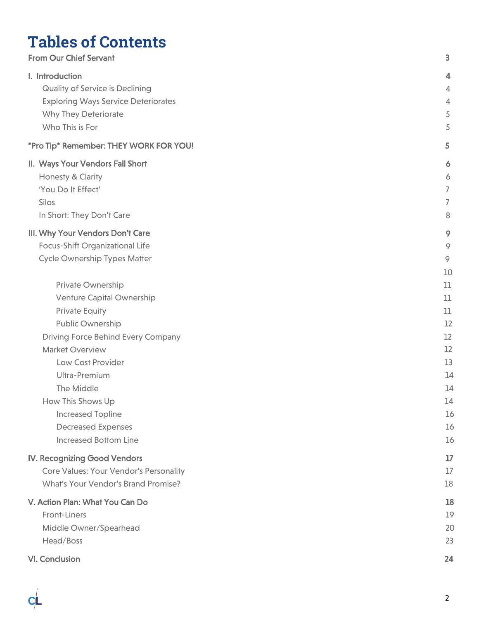## **Tables of Contents**

| <b>From Our Chief Servant</b>                                                                              | 3                       |
|------------------------------------------------------------------------------------------------------------|-------------------------|
| I. Introduction                                                                                            | $\overline{4}$          |
| <b>Quality of Service is Declining</b>                                                                     | 4                       |
| <b>Exploring Ways Service Deteriorates</b>                                                                 | 4                       |
| <b>Why They Deteriorate</b>                                                                                | 5                       |
| Who This is For                                                                                            | 5                       |
| *Pro Tip* Remember: THEY WORK FOR YOU!                                                                     | 5                       |
| II. Ways Your Vendors Fall Short                                                                           | 6                       |
| Honesty & Clarity                                                                                          | 6                       |
| 'You Do It Effect'                                                                                         | 7                       |
| Silos                                                                                                      | 7                       |
| In Short: They Don't Care                                                                                  | 8                       |
| III. Why Your Vendors Don't Care<br>Focus-Shift Organizational Life<br><b>Cycle Ownership Types Matter</b> | 9<br>9<br>$\circ$<br>10 |
| Private Ownership                                                                                          | 11                      |
| Venture Capital Ownership                                                                                  | 11                      |
| <b>Private Equity</b>                                                                                      | 11                      |
| Public Ownership                                                                                           | 12                      |
| <b>Driving Force Behind Every Company</b>                                                                  | 12                      |
| <b>Market Overview</b>                                                                                     | 12                      |
| Low Cost Provider                                                                                          | 13                      |
| Ultra-Premium                                                                                              | 14                      |
| The Middle                                                                                                 | 14                      |
| How This Shows Up                                                                                          | 14                      |
| <b>Increased Topline</b>                                                                                   | 16                      |
| <b>Decreased Expenses</b>                                                                                  | 16                      |
| <b>Increased Bottom Line</b>                                                                               | 16                      |
| IV. Recognizing Good Vendors                                                                               | 17                      |
| Core Values: Your Vendor's Personality                                                                     | 17                      |
| What's Your Vendor's Brand Promise?                                                                        | 18                      |
| V. Action Plan: What You Can Do                                                                            | 18                      |
| Front-Liners                                                                                               | 19                      |
| Middle Owner/Spearhead                                                                                     | 20                      |
| Head/Boss                                                                                                  | 23                      |
| VI. Conclusion                                                                                             | 24                      |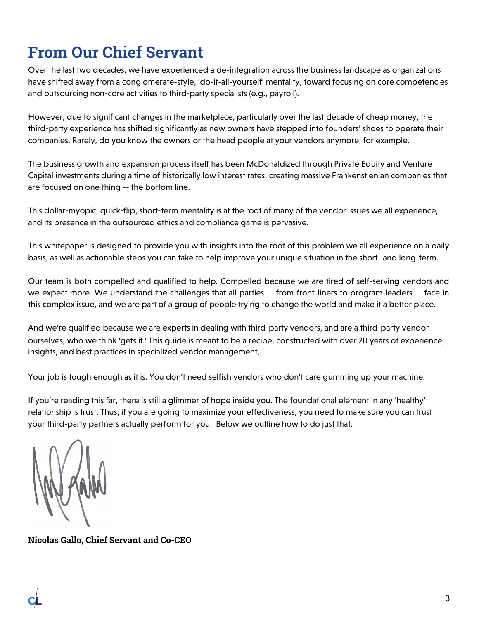## <span id="page-2-0"></span>**From Our Chief Servant**

Over the last two decades, we have experienced a de-integration across the business landscape as organizations have shifted away from a conglomerate-style, 'do-it-all-yourself' mentality, toward focusing on core competencies and outsourcing non-core activities to third-party specialists (e.g., payroll).

However, due to significant changes in the marketplace, particularly over the last decade of cheap money, the third-party experience has shifted significantly as new owners have stepped into founders' shoes to operate their companies. Rarely, do you know the owners or the head people at your vendors anymore, for example.

The business growth and expansion process itself has been McDonaldized through Private Equity and Venture Capital investments during a time of historically low interest rates, creating massive Frankenstienian companies that are focused on one thing -- the bottom line.

This dollar-myopic, quick-flip, short-term mentality is at the root of many of the vendor issues we all experience, and its presence in the outsourced ethics and compliance game is pervasive.

This whitepaper is designed to provide you with insights into the root of this problem we all experience on a daily basis, as well as actionable steps you can take to help improve your unique situation in the short- and long-term.

Our team is both compelled and qualified to help. Compelled because we are tired of self-serving vendors and we expect more. We understand the challenges that all parties -- from front-liners to program leaders -- face in this complex issue, and we are part of a group of people trying to change the world and make it a better place.

And we're qualified because we are experts in dealing with third-party vendors, and are a third-party vendor ourselves, who we think 'gets it.' This guide is meant to be a recipe, constructed with over 20 years of experience, insights, and best practices in specialized vendor management.

Your job is tough enough as it is. You don't need selfish vendors who don't care gumming up your machine.

If you're reading this far, there is still a glimmer of hope inside you. The foundational element in any 'healthy' relationship is trust. Thus, if you are going to maximize your effectiveness, you need to make sure you can trust your third-party partners actually perform for you. Below we outline how to do just that.

**Nicolas Gallo, Chief Servant and Co-CEO**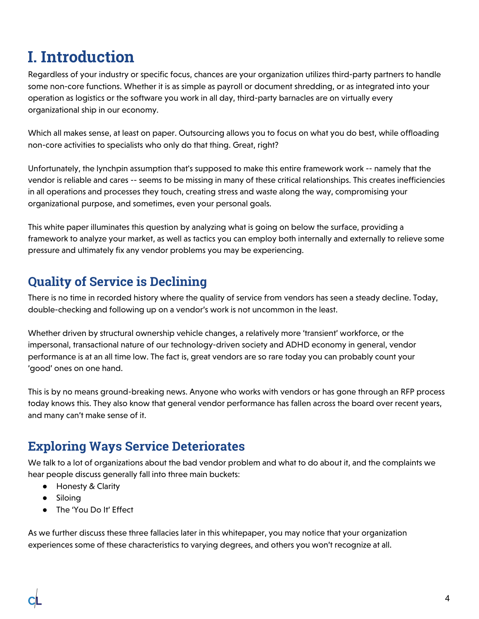## <span id="page-3-0"></span>**I. Introduction**

Regardless of your industry or specific focus, chances are your organization utilizes third-party partners to handle some non-core functions. Whether it is as simple as payroll or document shredding, or as integrated into your operation as logistics or the software you work in all day, third-party barnacles are on virtually every organizational ship in our economy.

Which all makes sense, at least on paper. Outsourcing allows you to focus on what you do best, while offloading non-core activities to specialists who only do that thing. Great, right?

Unfortunately, the lynchpin assumption that's supposed to make this entire framework work -- namely that the vendor is reliable and cares -- seems to be missing in many of these critical relationships. This creates inefficiencies in all operations and processes they touch, creating stress and waste along the way, compromising your organizational purpose, and sometimes, even your personal goals.

This white paper illuminates this question by analyzing what is going on below the surface, providing a framework to analyze your market, as well as tactics you can employ both internally and externally to relieve some pressure and ultimately fix any vendor problems you may be experiencing.

### <span id="page-3-1"></span>**Quality of Service is Declining**

There is no time in recorded history where the quality of service from vendors has seen a steady decline. Today, double-checking and following up on a vendor's work is not uncommon in the least.

Whether driven by structural ownership vehicle changes, a relatively more 'transient' workforce, or the impersonal, transactional nature of our technology-driven society and ADHD economy in general, vendor performance is at an all time low. The fact is, great vendors are so rare today you can probably count your 'good' ones on one hand.

This is by no means ground-breaking news. Anyone who works with vendors or has gone through an RFP process today knows this. They also know that general vendor performance has fallen across the board over recent years, and many can't make sense of it.

### <span id="page-3-2"></span>**Exploring Ways Service Deteriorates**

We talk to a lot of organizations about the bad vendor problem and what to do about it, and the complaints we hear people discuss generally fall into three main buckets:

- Honesty & Clarity
- Siloing
- The 'You Do It' Effect

As we further discuss these three fallacies later in this whitepaper, you may notice that your organization experiences some of these characteristics to varying degrees, and others you won't recognize at all.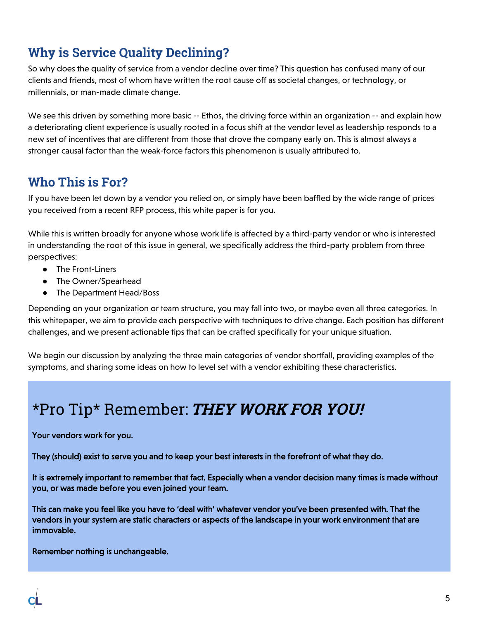### <span id="page-4-0"></span>**Why is Service Quality Declining?**

So why does the quality of service from a vendor decline over time? This question has confused many of our clients and friends, most of whom have written the root cause off as societal changes, or technology, or millennials, or man-made climate change.

We see this driven by something more basic -- Ethos, the driving force within an organization -- and explain how a deteriorating client experience is usually rooted in a focus shift at the vendor level as leadership responds to a new set of incentives that are different from those that drove the company early on. This is almost always a stronger causal factor than the weak-force factors this phenomenon is usually attributed to.

### <span id="page-4-1"></span>**Who This is For?**

If you have been let down by a vendor you relied on, or simply have been baffled by the wide range of prices you received from a recent RFP process, this white paper is for you.

While this is written broadly for anyone whose work life is affected by a third-party vendor or who is interested in understanding the root of this issue in general, we specifically address the third-party problem from three perspectives:

- The Front-Liners
- The Owner/Spearhead
- The Department Head/Boss

Depending on your organization or team structure, you may fall into two, or maybe even all three categories. In this whitepaper, we aim to provide each perspective with techniques to drive change. Each position has different challenges, and we present actionable tips that can be crafted specifically for your unique situation.

We begin our discussion by analyzing the three main categories of vendor shortfall, providing examples of the symptoms, and sharing some ideas on how to level set with a vendor exhibiting these characteristics.

## <span id="page-4-2"></span>\*Pro Tip\* Remember: **THEY WORK FOR YOU!**

#### Your vendors work for you.

They (should) exist to serve you and to keep your best interests in the forefront of what they do.

It is extremely important to remember that fact. Especially when a vendor decision many times is made without you, or was made before you even joined your team.

This can make you feel like you have to 'deal with' whatever vendor you've been presented with. That the vendors in your system are static characters or aspects of the landscape in your work environment that are immovable.

Remember nothing is unchangeable.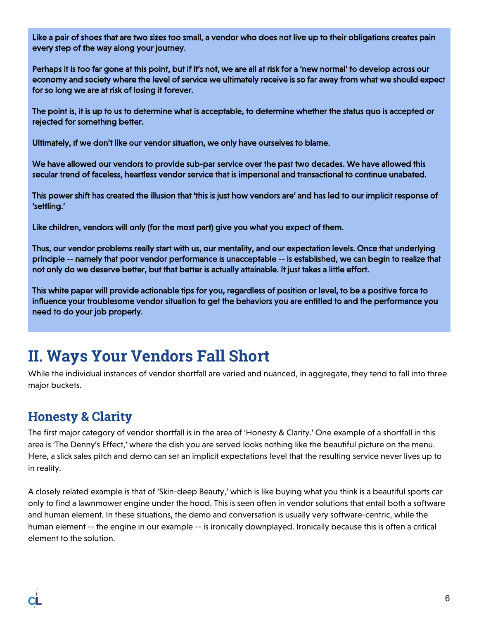Like a pair of shoes that are two sizes too small, a vendor who does not live up to their obligations creates pain every step of the way along your journey.

Perhaps it is too far gone at this point, but if it's not, we are all at risk for a 'new normal' to develop across our economy and society where the level of service we ultimately receive is so far away from what we should expect for so long we are at risk of losing it forever.

The point is, it is up to us to determine what is acceptable, to determine whether the status quo is accepted or rejected for something better.

Ultimately, if we don't like our vendor situation, we only have ourselves to blame.

We have allowed our vendors to provide sub-par service over the past two decades. We have allowed this secular trend of faceless, heartless vendor service that is impersonal and transactional to continue unabated.

This power shift has created the illusion that 'this is just how vendors are' and has led to our implicit response of 'settling.'

Like children, vendors will only (for the most part) give you what you expect of them.

Thus, our vendor problems really start with us, our mentality, and our expectation levels. Once that underlying principle -- namely that poor vendor performance is unacceptable -- is established, we can begin to realize that not only do we deserve better, but that better is actually attainable. It just takes a little effort.

This white paper will provide actionable tips for you, regardless of position or level, to be a positive force to influence your troublesome vendor situation to get the behaviors you are entitled to and the performance you need to do your job properly.

## <span id="page-5-0"></span>**II. Ways Your Vendors Fall Short**

While the individual instances of vendor shortfall are varied and nuanced, in aggregate, they tend to fall into three major buckets.

### <span id="page-5-1"></span>**Honesty & Clarity**

The first major category of vendor shortfall is in the area of 'Honesty & Clarity.' One example of a shortfall in this area is 'The Denny's Effect,' where the dish you are served looks nothing like the beautiful picture on the menu. Here, a slick sales pitch and demo can set an implicit expectations level that the resulting service never lives up to in reality.

A closely related example is that of 'Skin-deep Beauty,' which is like buying what you think is a beautiful sports car only to find a lawnmower engine under the hood. This is seen often in vendor solutions that entail both a software and human element. In these situations, the demo and conversation is usually very software-centric, while the human element -- the engine in our example -- is ironically downplayed. Ironically because this is often a critical element to the solution.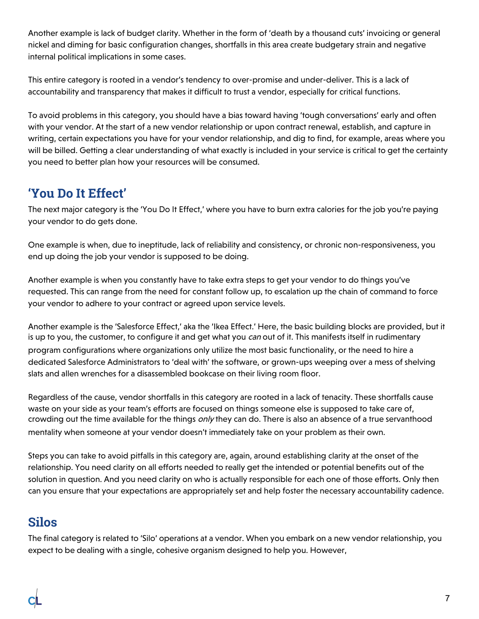Another example is lack of budget clarity. Whether in the form of 'death by a thousand cuts' invoicing or general nickel and diming for basic configuration changes, shortfalls in this area create budgetary strain and negative internal political implications in some cases.

This entire category is rooted in a vendor's tendency to over-promise and under-deliver. This is a lack of accountability and transparency that makes it difficult to trust a vendor, especially for critical functions.

To avoid problems in this category, you should have a bias toward having 'tough conversations' early and often with your vendor. At the start of a new vendor relationship or upon contract renewal, establish, and capture in writing, certain expectations you have for your vendor relationship, and dig to find, for example, areas where you will be billed. Getting a clear understanding of what exactly is included in your service is critical to get the certainty you need to better plan how your resources will be consumed.

### <span id="page-6-0"></span>**'You Do It Effect'**

The next major category is the 'You Do It Effect,' where you have to burn extra calories for the job you're paying your vendor to do gets done.

One example is when, due to ineptitude, lack of reliability and consistency, or chronic non-responsiveness, you end up doing the job your vendor is supposed to be doing.

Another example is when you constantly have to take extra steps to get your vendor to do things you've requested. This can range from the need for constant follow up, to escalation up the chain of command to force your vendor to adhere to your contract or agreed upon service levels.

Another example is the 'Salesforce Effect,' aka the 'Ikea Effect.' Here, the basic building blocks are provided, but it is up to you, the customer, to configure it and get what you can out of it. This manifests itself in rudimentary program configurations where organizations only utilize the most basic functionality, or the need to hire a dedicated Salesforce Administrators to 'deal with' the software, or grown-ups weeping over a mess of shelving slats and allen wrenches for a disassembled bookcase on their living room floor.

Regardless of the cause, vendor shortfalls in this category are rooted in a lack of tenacity. These shortfalls cause waste on your side as your team's efforts are focused on things someone else is supposed to take care of, crowding out the time available for the things only they can do. There is also an absence of a true servanthood mentality when someone at your vendor doesn't immediately take on your problem as their own.

Steps you can take to avoid pitfalls in this category are, again, around establishing clarity at the onset of the relationship. You need clarity on all efforts needed to really get the intended or potential benefits out of the solution in question. And you need clarity on who is actually responsible for each one of those efforts. Only then can you ensure that your expectations are appropriately set and help foster the necessary accountability cadence.

### <span id="page-6-1"></span>**Silos**

The final category is related to 'Silo' operations at a vendor. When you embark on a new vendor relationship, you expect to be dealing with a single, cohesive organism designed to help you. However,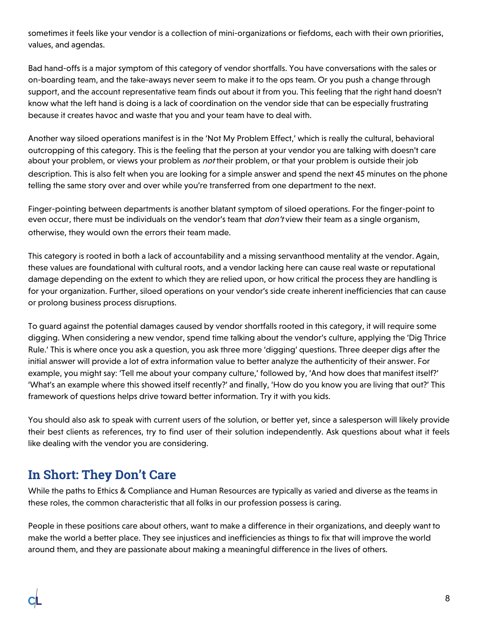sometimes it feels like your vendor is a collection of mini-organizations or fiefdoms, each with their own priorities, values, and agendas.

Bad hand-offs is a major symptom of this category of vendor shortfalls. You have conversations with the sales or on-boarding team, and the take-aways never seem to make it to the ops team. Or you push a change through support, and the account representative team finds out about it from you. This feeling that the right hand doesn't know what the left hand is doing is a lack of coordination on the vendor side that can be especially frustrating because it creates havoc and waste that you and your team have to deal with.

Another way siloed operations manifest is in the 'Not My Problem Effect,' which is really the cultural, behavioral outcropping of this category. This is the feeling that the person at your vendor you are talking with doesn't care about your problem, or views your problem as not their problem, or that your problem is outside their job description. This is also felt when you are looking for a simple answer and spend the next 45 minutes on the phone telling the same story over and over while you're transferred from one department to the next.

Finger-pointing between departments is another blatant symptom of siloed operations. For the finger-point to even occur, there must be individuals on the vendor's team that *don't* view their team as a single organism, otherwise, they would own the errors their team made.

This category is rooted in both a lack of accountability and a missing servanthood mentality at the vendor. Again, these values are foundational with cultural roots, and a vendor lacking here can cause real waste or reputational damage depending on the extent to which they are relied upon, or how critical the process they are handling is for your organization. Further, siloed operations on your vendor's side create inherent inefficiencies that can cause or prolong business process disruptions.

To guard against the potential damages caused by vendor shortfalls rooted in this category, it will require some digging. When considering a new vendor, spend time talking about the vendor's culture, applying the 'Dig Thrice Rule.' This is where once you ask a question, you ask three more 'digging' questions. Three deeper digs after the initial answer will provide a lot of extra information value to better analyze the authenticity of their answer. For example, you might say: 'Tell me about your company culture,' followed by, 'And how does that manifest itself?' 'What's an example where this showed itself recently?' and finally, 'How do you know you are living that out?' This framework of questions helps drive toward better information. Try it with you kids.

You should also ask to speak with current users of the solution, or better yet, since a salesperson will likely provide their best clients as references, try to find user of their solution independently. Ask questions about what it feels like dealing with the vendor you are considering.

#### <span id="page-7-0"></span>**In Short: They Don't Care**

While the paths to Ethics & Compliance and Human Resources are typically as varied and diverse as the teams in these roles, the common characteristic that all folks in our profession possess is caring.

People in these positions care about others, want to make a difference in their organizations, and deeply want to make the world a better place. They see injustices and inefficiencies as things to fix that will improve the world around them, and they are passionate about making a meaningful difference in the lives of others.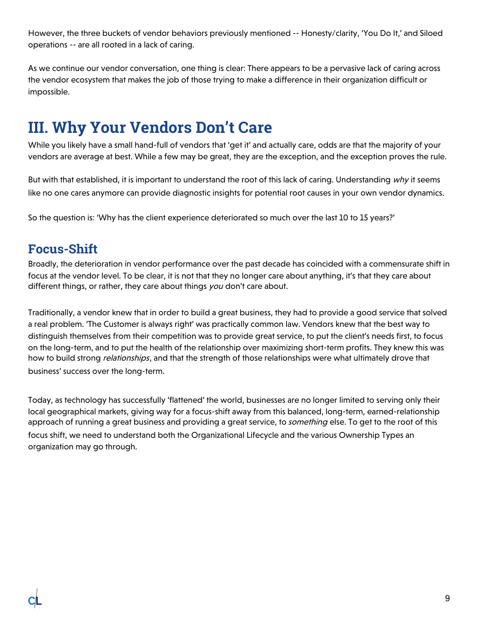However, the three buckets of vendor behaviors previously mentioned -- Honesty/clarity, 'You Do It,' and Siloed operations -- are all rooted in a lack of caring.

As we continue our vendor conversation, one thing is clear: There appears to be a pervasive lack of caring across the vendor ecosystem that makes the job of those trying to make a difference in their organization difficult or impossible.

## <span id="page-8-0"></span>**III. Why Your Vendors Don't Care**

While you likely have a small hand-full of vendors that 'get it' and actually care, odds are that the majority of your vendors are average at best. While a few may be great, they are the exception, and the exception proves the rule.

But with that established, it is important to understand the root of this lack of caring. Understanding why it seems like no one cares anymore can provide diagnostic insights for potential root causes in your own vendor dynamics.

So the question is: 'Why has the client experience deteriorated so much over the last 10 to 15 years?'

#### <span id="page-8-1"></span>**Focus-Shift**

Broadly, the deterioration in vendor performance over the past decade has coincided with a commensurate shift in focus at the vendor level. To be clear, it is not that they no longer care about anything, it's that they care about different things, or rather, they care about things you don't care about.

Traditionally, a vendor knew that in order to build a great business, they had to provide a good service that solved a real problem. 'The Customer is always right' was practically common law. Vendors knew that the best way to distinguish themselves from their competition was to provide great service, to put the client's needs first, to focus on the long-term, and to put the health of the relationship over maximizing short-term profits. They knew this was how to build strong *relationships*, and that the strength of those relationships were what ultimately drove that business' success over the long-term.

<span id="page-8-2"></span>Today, as technology has successfully 'flattened' the world, businesses are no longer limited to serving only their local geographical markets, giving way for a focus-shift away from this balanced, long-term, earned-relationship approach of running a great business and providing a great service, to something else. To get to the root of this focus shift, we need to understand both the Organizational Lifecycle and the various Ownership Types an organization may go through.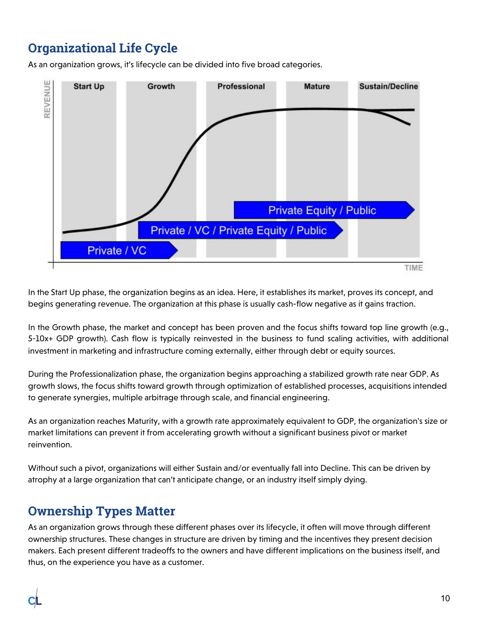### **Organizational Life Cycle**

As an organization grows, it's lifecycle can be divided into five broad categories.



In the Start Up phase, the organization begins as an idea. Here, it establishes its market, proves its concept, and begins generating revenue. The organization at this phase is usually cash-flow negative as it gains traction.

In the Growth phase, the market and concept has been proven and the focus shifts toward top line growth (e.g., 5-10x+ GDP growth). Cash flow is typically reinvested in the business to fund scaling activities, with additional investment in marketing and infrastructure coming externally, either through debt or equity sources.

During the Professionalization phase, the organization begins approaching a stabilized growth rate near GDP. As growth slows, the focus shifts toward growth through optimization of established processes, acquisitions intended to generate synergies, multiple arbitrage through scale, and financial engineering.

As an organization reaches Maturity, with a growth rate approximately equivalent to GDP, the organization's size or market limitations can prevent it from accelerating growth without a significant business pivot or market reinvention.

Without such a pivot, organizations will either Sustain and/or eventually fall into Decline. This can be driven by atrophy at a large organization that can't anticipate change, or an industry itself simply dying.

### <span id="page-9-0"></span>**Ownership Types Matter**

As an organization grows through these different phases over its lifecycle, it often will move through different ownership structures. These changes in structure are driven by timing and the incentives they present decision makers. Each present different tradeoffs to the owners and have different implications on the business itself, and thus, on the experience you have as a customer.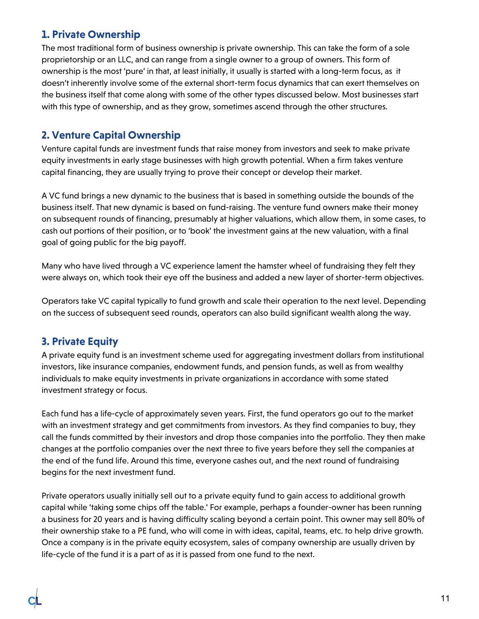#### <span id="page-10-0"></span>**1. Private Ownership**

The most traditional form of business ownership is private ownership. This can take the form of a sole proprietorship or an LLC, and can range from a single owner to a group of owners. This form of ownership is the most 'pure' in that, at least initially, it usually is started with a long-term focus, as it doesn't inherently involve some of the external short-term focus dynamics that can exert themselves on the business itself that come along with some of the other types discussed below. Most businesses start with this type of ownership, and as they grow, sometimes ascend through the other structures.

#### <span id="page-10-1"></span>**2. Venture Capital Ownership**

Venture capital funds are investment funds that raise money from investors and seek to make private equity investments in early stage businesses with high growth potential. When a firm takes venture capital financing, they are usually trying to prove their concept or develop their market.

A VC fund brings a new dynamic to the business that is based in something outside the bounds of the business itself. That new dynamic is based on fund-raising. The venture fund owners make their money on subsequent rounds of financing, presumably at higher valuations, which allow them, in some cases, to cash out portions of their position, or to 'book' the investment gains at the new valuation, with a final goal of going public for the big payoff.

Many who have lived through a VC experience lament the hamster wheel of fundraising they felt they were always on, which took their eye off the business and added a new layer of shorter-term objectives.

Operators take VC capital typically to fund growth and scale their operation to the next level. Depending on the success of subsequent seed rounds, operators can also build significant wealth along the way.

#### <span id="page-10-2"></span>**3. Private Equity**

A private equity fund is an investment scheme used for aggregating investment dollars from institutional investors, like insurance companies, endowment funds, and pension funds, as well as from wealthy individuals to make equity investments in private organizations in accordance with some stated investment strategy or focus.

Each fund has a life-cycle of approximately seven years. First, the fund operators go out to the market with an investment strategy and get commitments from investors. As they find companies to buy, they call the funds committed by their investors and drop those companies into the portfolio. They then make changes at the portfolio companies over the next three to five years before they sell the companies at the end of the fund life. Around this time, everyone cashes out, and the next round of fundraising begins for the next investment fund.

Private operators usually initially sell out to a private equity fund to gain access to additional growth capital while 'taking some chips off the table.' For example, perhaps a founder-owner has been running a business for 20 years and is having difficulty scaling beyond a certain point. This owner may sell 80% of their ownership stake to a PE fund, who will come in with ideas, capital, teams, etc. to help drive growth. Once a company is in the private equity ecosystem, sales of company ownership are usually driven by life-cycle of the fund it is a part of as it is passed from one fund to the next.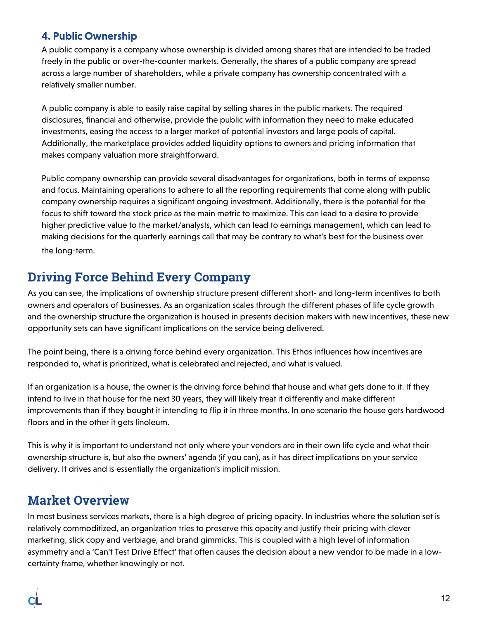#### <span id="page-11-0"></span>**4. Public Ownership**

A public company is a company whose ownership is divided among shares that are intended to be traded freely in the public or over-the-counter markets. Generally, the shares of a public company are spread across a large number of shareholders, while a private company has ownership concentrated with a relatively smaller number.

A public company is able to easily raise capital by selling shares in the public markets. The required disclosures, financial and otherwise, provide the public with information they need to make educated investments, easing the access to a larger market of potential investors and large pools of capital. Additionally, the marketplace provides added liquidity options to owners and pricing information that makes company valuation more straightforward.

Public company ownership can provide several disadvantages for organizations, both in terms of expense and focus. Maintaining operations to adhere to all the reporting requirements that come along with public company ownership requires a significant ongoing investment. Additionally, there is the potential for the focus to shift toward the stock price as the main metric to maximize. This can lead to a desire to provide higher predictive value to the market/analysts, which can lead to earnings management, which can lead to making decisions for the quarterly earnings call that may be contrary to what's best for the business over the long-term.

### <span id="page-11-1"></span>**Driving Force Behind Every Company**

As you can see, the implications of ownership structure present different short- and long-term incentives to both owners and operators of businesses. As an organization scales through the different phases of life cycle growth and the ownership structure the organization is housed in presents decision makers with new incentives, these new opportunity sets can have significant implications on the service being delivered.

The point being, there is a driving force behind every organization. This Ethos influences how incentives are responded to, what is prioritized, what is celebrated and rejected, and what is valued.

If an organization is a house, the owner is the driving force behind that house and what gets done to it. If they intend to live in that house for the next 30 years, they will likely treat it differently and make different improvements than if they bought it intending to flip it in three months. In one scenario the house gets hardwood floors and in the other it gets linoleum.

This is why it is important to understand not only where your vendors are in their own life cycle and what their ownership structure is, but also the owners' agenda (if you can), as it has direct implications on your service delivery. It drives and is essentially the organization's implicit mission.

#### <span id="page-11-2"></span>**Market Overview**

In most business services markets, there is a high degree of pricing opacity. In industries where the solution set is relatively commoditized, an organization tries to preserve this opacity and justify their pricing with clever marketing, slick copy and verbiage, and brand gimmicks. This is coupled with a high level of information asymmetry and a 'Can't Test Drive Effect' that often causes the decision about a new vendor to be made in a lowcertainty frame, whether knowingly or not.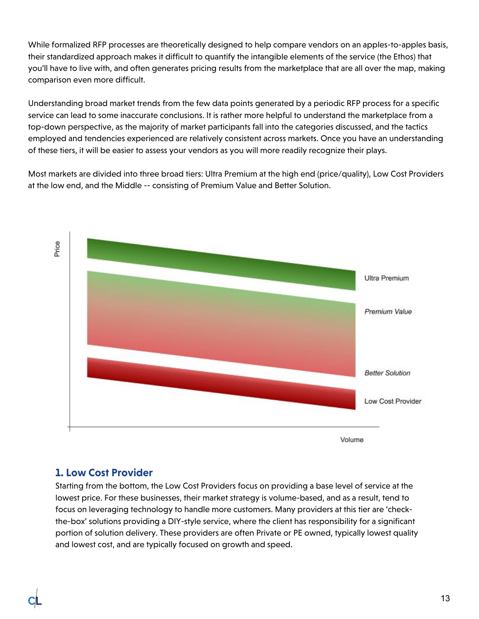While formalized RFP processes are theoretically designed to help compare vendors on an apples-to-apples basis, their standardized approach makes it difficult to quantify the intangible elements of the service (the Ethos) that you'll have to live with, and often generates pricing results from the marketplace that are all over the map, making comparison even more difficult.

Understanding broad market trends from the few data points generated by a periodic RFP process for a specific service can lead to some inaccurate conclusions. It is rather more helpful to understand the marketplace from a top-down perspective, as the majority of market participants fall into the categories discussed, and the tactics employed and tendencies experienced are relatively consistent across markets. Once you have an understanding of these tiers, it will be easier to assess your vendors as you will more readily recognize their plays.

Most markets are divided into three broad tiers: Ultra Premium at the high end (price/quality), Low Cost Providers at the low end, and the Middle -- consisting of Premium Value and Better Solution.



#### <span id="page-12-0"></span>**1. Low Cost Provider**

Starting from the bottom, the Low Cost Providers focus on providing a base level of service at the lowest price. For these businesses, their market strategy is volume-based, and as a result, tend to focus on leveraging technology to handle more customers. Many providers at this tier are 'checkthe-box' solutions providing a DIY-style service, where the client has responsibility for a significant portion of solution delivery. These providers are often Private or PE owned, typically lowest quality and lowest cost, and are typically focused on growth and speed.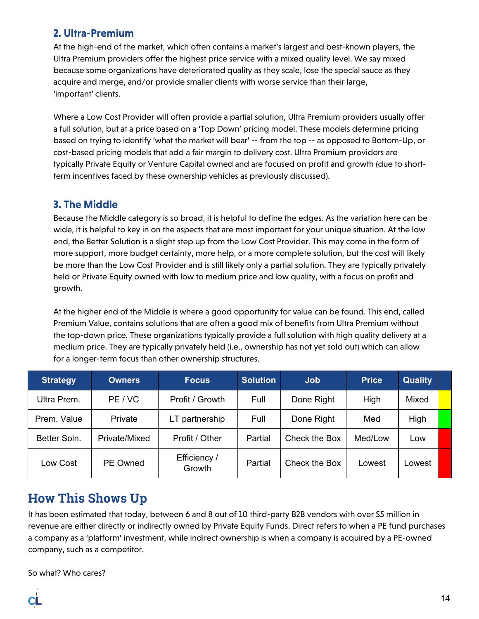#### <span id="page-13-0"></span>**2. Ultra-Premium**

At the high-end of the market, which often contains a market's largest and best-known players, the Ultra Premium providers offer the highest price service with a mixed quality level. We say mixed because some organizations have deteriorated quality as they scale, lose the special sauce as they acquire and merge, and/or provide smaller clients with worse service than their large, 'important' clients.

Where a Low Cost Provider will often provide a partial solution, Ultra Premium providers usually offer a full solution, but at a price based on a 'Top Down' pricing model. These models determine pricing based on trying to identify 'what the market will bear' -- from the top -- as opposed to Bottom-Up, or cost-based pricing models that add a fair margin to delivery cost. Ultra Premium providers are typically Private Equity or Venture Capital owned and are focused on profit and growth (due to shortterm incentives faced by these ownership vehicles as previously discussed).

#### <span id="page-13-1"></span>**3. The Middle**

Because the Middle category is so broad, it is helpful to define the edges. As the variation here can be wide, it is helpful to key in on the aspects that are most important for your unique situation. At the low end, the Better Solution is a slight step up from the Low Cost Provider. This may come in the form of more support, more budget certainty, more help, or a more complete solution, but the cost will likely be more than the Low Cost Provider and is still likely only a partial solution. They are typically privately held or Private Equity owned with low to medium price and low quality, with a focus on profit and growth.

At the higher end of the Middle is where a good opportunity for value can be found. This end, called Premium Value, contains solutions that are often a good mix of benefits from Ultra Premium without the top-down price. These organizations typically provide a full solution with high quality delivery at a medium price. They are typically privately held (i.e., ownership has not yet sold out) which can allow for a longer-term focus than other ownership structures.

| <b>Strategy</b> | <b>Owners</b>   | <b>Focus</b>           | <b>Solution</b><br><b>Job</b> |               | <b>Price</b> | <b>Quality</b> |  |
|-----------------|-----------------|------------------------|-------------------------------|---------------|--------------|----------------|--|
| Ultra Prem.     | PE / VC         | Profit / Growth        | Full                          | Done Right    | High         | Mixed          |  |
| Prem. Value     | Private         | LT partnership         | Full                          | Done Right    |              | High           |  |
| Better Soln.    | Private/Mixed   | Profit / Other         | Partial                       | Check the Box | Med/Low      | Low            |  |
| Low Cost        | <b>PE Owned</b> | Efficiency /<br>Growth | Partial                       | Check the Box | Lowest       | _owest         |  |

#### <span id="page-13-2"></span>**How This Shows Up**

It has been estimated that today, between 6 and 8 out of 10 third-party B2B vendors with over \$5 million in revenue are either directly or indirectly owned by Private Equity Funds. Direct refers to when a PE fund purchases a company as a 'platform' investment, while indirect ownership is when a company is acquired by a PE-owned company, such as a competitor.

So what? Who cares?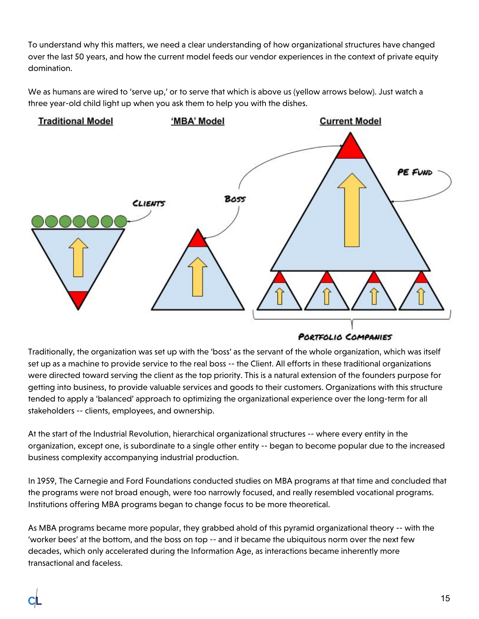To understand why this matters, we need a clear understanding of how organizational structures have changed over the last 50 years, and how the current model feeds our vendor experiences in the context of private equity domination.

We as humans are wired to 'serve up,' or to serve that which is above us (yellow arrows below). Just watch a three year-old child light up when you ask them to help you with the dishes.



PORTFOLIO COMPANIES

Traditionally, the organization was set up with the 'boss' as the servant of the whole organization, which was itself set up as a machine to provide service to the real boss -- the Client. All efforts in these traditional organizations were directed toward serving the client as the top priority. This is a natural extension of the founders purpose for getting into business, to provide valuable services and goods to their customers. Organizations with this structure tended to apply a 'balanced' approach to optimizing the organizational experience over the long-term for all stakeholders -- clients, employees, and ownership.

At the start of the Industrial Revolution, hierarchical organizational structures -- where every entity in the organization, except one, is subordinate to a single other entity -- began to become popular due to the increased business complexity accompanying industrial production.

In 1959, The Carnegie and Ford Foundations conducted studies on MBA programs at that time and concluded that the programs were not broad enough, were too narrowly focused, and really resembled vocational programs. Institutions offering MBA programs began to change focus to be more theoretical.

As MBA programs became more popular, they grabbed ahold of this pyramid organizational theory -- with the 'worker bees' at the bottom, and the boss on top -- and it became the ubiquitous norm over the next few decades, which only accelerated during the Information Age, as interactions became inherently more transactional and faceless.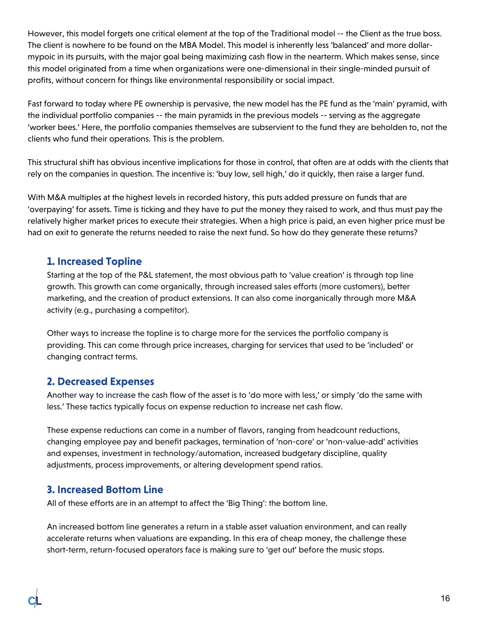However, this model forgets one critical element at the top of the Traditional model -- the Client as the true boss. The client is nowhere to be found on the MBA Model. This model is inherently less 'balanced' and more dollarmypoic in its pursuits, with the major goal being maximizing cash flow in the nearterm. Which makes sense, since this model originated from a time when organizations were one-dimensional in their single-minded pursuit of profits, without concern for things like environmental responsibility or social impact.

Fast forward to today where PE ownership is pervasive, the new model has the PE fund as the 'main' pyramid, with the individual portfolio companies -- the main pyramids in the previous models -- serving as the aggregate 'worker bees.' Here, the portfolio companies themselves are subservient to the fund they are beholden to, not the clients who fund their operations. This is the problem.

This structural shift has obvious incentive implications for those in control, that often are at odds with the clients that rely on the companies in question. The incentive is: 'buy low, sell high,' do it quickly, then raise a larger fund.

With M&A multiples at the highest levels in recorded history, this puts added pressure on funds that are 'overpaying' for assets. Time is ticking and they have to put the money they raised to work, and thus must pay the relatively higher market prices to execute their strategies. When a high price is paid, an even higher price must be had on exit to generate the returns needed to raise the next fund. So how do they generate these returns?

#### <span id="page-15-0"></span>**1. Increased Topline**

Starting at the top of the P&L statement, the most obvious path to 'value creation' is through top line growth. This growth can come organically, through increased sales efforts (more customers), better marketing, and the creation of product extensions. It can also come inorganically through more M&A activity (e.g., purchasing a competitor).

Other ways to increase the topline is to charge more for the services the portfolio company is providing. This can come through price increases, charging for services that used to be 'included' or changing contract terms.

#### <span id="page-15-1"></span>**2. Decreased Expenses**

Another way to increase the cash flow of the asset is to 'do more with less,' or simply 'do the same with less.' These tactics typically focus on expense reduction to increase net cash flow.

These expense reductions can come in a number of flavors, ranging from headcount reductions, changing employee pay and benefit packages, termination of 'non-core' or 'non-value-add' activities and expenses, investment in technology/automation, increased budgetary discipline, quality adjustments, process improvements, or altering development spend ratios.

#### <span id="page-15-2"></span>**3. Increased Bottom Line**

All of these efforts are in an attempt to affect the 'Big Thing': the bottom line.

An increased bottom line generates a return in a stable asset valuation environment, and can really accelerate returns when valuations are expanding. In this era of cheap money, the challenge these short-term, return-focused operators face is making sure to 'get out' before the music stops.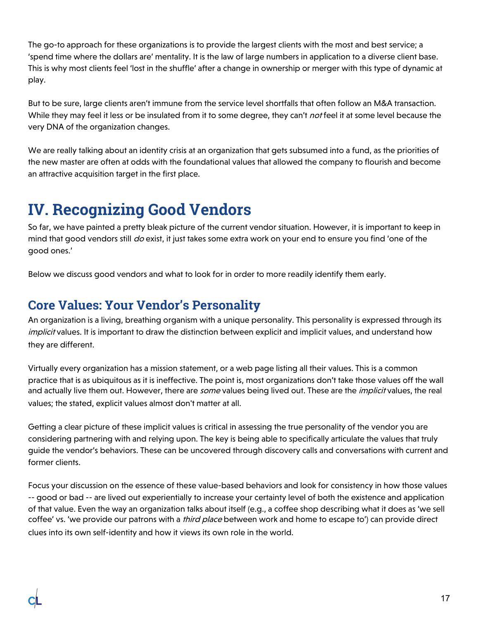The go-to approach for these organizations is to provide the largest clients with the most and best service; a 'spend time where the dollars are' mentality. It is the law of large numbers in application to a diverse client base. This is why most clients feel 'lost in the shuffle' after a change in ownership or merger with this type of dynamic at play.

But to be sure, large clients aren't immune from the service level shortfalls that often follow an M&A transaction. While they may feel it less or be insulated from it to some degree, they can't *not* feel it at some level because the very DNA of the organization changes.

We are really talking about an identity crisis at an organization that gets subsumed into a fund, as the priorities of the new master are often at odds with the foundational values that allowed the company to flourish and become an attractive acquisition target in the first place.

## <span id="page-16-0"></span>**IV. Recognizing Good Vendors**

So far, we have painted a pretty bleak picture of the current vendor situation. However, it is important to keep in mind that good vendors still do exist, it just takes some extra work on your end to ensure you find 'one of the good ones.'

<span id="page-16-1"></span>Below we discuss good vendors and what to look for in order to more readily identify them early.

### **Core Values: Your Vendor's Personality**

An organization is a living, breathing organism with a unique personality. This personality is expressed through its implicit values. It is important to draw the distinction between explicit and implicit values, and understand how they are different.

Virtually every organization has a mission statement, or a web page listing all their values. This is a common practice that is as ubiquitous as it is ineffective. The point is, most organizations don't take those values off the wall and actually live them out. However, there are some values being lived out. These are the *implicit* values, the real values; the stated, explicit values almost don't matter at all.

Getting a clear picture of these implicit values is critical in assessing the true personality of the vendor you are considering partnering with and relying upon. The key is being able to specifically articulate the values that truly guide the vendor's behaviors. These can be uncovered through discovery calls and conversations with current and former clients.

Focus your discussion on the essence of these value-based behaviors and look for consistency in how those values -- good or bad -- are lived out experientially to increase your certainty level of both the existence and application of that value. Even the way an organization talks about itself (e.g., a coffee shop describing what it does as 'we sell coffee' vs. 'we provide our patrons with a *third place* between work and home to escape to') can provide direct clues into its own self-identity and how it views its own role in the world.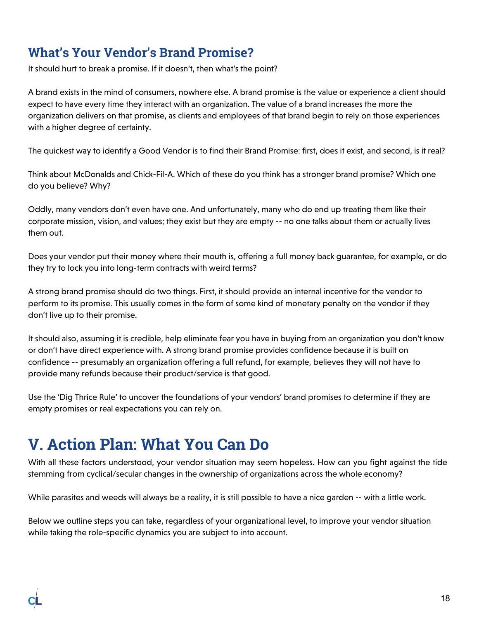### <span id="page-17-0"></span>**What's Your Vendor's Brand Promise?**

It should hurt to break a promise. If it doesn't, then what's the point?

A brand exists in the mind of consumers, nowhere else. A brand promise is the value or experience a client should expect to have every time they interact with an organization. The value of a brand increases the more the organization delivers on that promise, as clients and employees of that brand begin to rely on those experiences with a higher degree of certainty.

The quickest way to identify a Good Vendor is to find their Brand Promise: first, does it exist, and second, is it real?

Think about McDonalds and Chick-Fil-A. Which of these do you think has a stronger brand promise? Which one do you believe? Why?

Oddly, many vendors don't even have one. And unfortunately, many who do end up treating them like their corporate mission, vision, and values; they exist but they are empty -- no one talks about them or actually lives them out.

Does your vendor put their money where their mouth is, offering a full money back guarantee, for example, or do they try to lock you into long-term contracts with weird terms?

A strong brand promise should do two things. First, it should provide an internal incentive for the vendor to perform to its promise. This usually comes in the form of some kind of monetary penalty on the vendor if they don't live up to their promise.

It should also, assuming it is credible, help eliminate fear you have in buying from an organization you don't know or don't have direct experience with. A strong brand promise provides confidence because it is built on confidence -- presumably an organization offering a full refund, for example, believes they will not have to provide many refunds because their product/service is that good.

Use the 'Dig Thrice Rule' to uncover the foundations of your vendors' brand promises to determine if they are empty promises or real expectations you can rely on.

## <span id="page-17-1"></span>**V. Action Plan: What You Can Do**

With all these factors understood, your vendor situation may seem hopeless. How can you fight against the tide stemming from cyclical/secular changes in the ownership of organizations across the whole economy?

While parasites and weeds will always be a reality, it is still possible to have a nice garden -- with a little work.

Below we outline steps you can take, regardless of your organizational level, to improve your vendor situation while taking the role-specific dynamics you are subject to into account.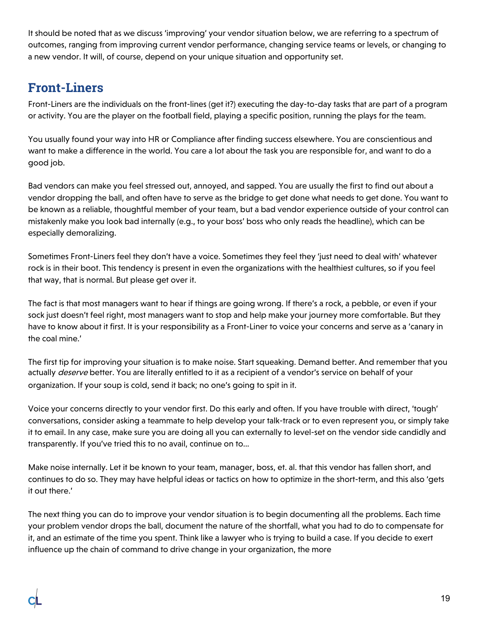It should be noted that as we discuss 'improving' your vendor situation below, we are referring to a spectrum of outcomes, ranging from improving current vendor performance, changing service teams or levels, or changing to a new vendor. It will, of course, depend on your unique situation and opportunity set.

### <span id="page-18-0"></span>**Front-Liners**

Front-Liners are the individuals on the front-lines (get it?) executing the day-to-day tasks that are part of a program or activity. You are the player on the football field, playing a specific position, running the plays for the team.

You usually found your way into HR or Compliance after finding success elsewhere. You are conscientious and want to make a difference in the world. You care a lot about the task you are responsible for, and want to do a good job.

Bad vendors can make you feel stressed out, annoyed, and sapped. You are usually the first to find out about a vendor dropping the ball, and often have to serve as the bridge to get done what needs to get done. You want to be known as a reliable, thoughtful member of your team, but a bad vendor experience outside of your control can mistakenly make you look bad internally (e.g., to your boss' boss who only reads the headline), which can be especially demoralizing.

Sometimes Front-Liners feel they don't have a voice. Sometimes they feel they 'just need to deal with' whatever rock is in their boot. This tendency is present in even the organizations with the healthiest cultures, so if you feel that way, that is normal. But please get over it.

The fact is that most managers want to hear if things are going wrong. If there's a rock, a pebble, or even if your sock just doesn't feel right, most managers want to stop and help make your journey more comfortable. But they have to know about it first. It is your responsibility as a Front-Liner to voice your concerns and serve as a 'canary in the coal mine.'

The first tip for improving your situation is to make noise. Start squeaking. Demand better. And remember that you actually deserve better. You are literally entitled to it as a recipient of a vendor's service on behalf of your organization. If your soup is cold, send it back; no one's going to spit in it.

Voice your concerns directly to your vendor first. Do this early and often. If you have trouble with direct, 'tough' conversations, consider asking a teammate to help develop your talk-track or to even represent you, or simply take it to email. In any case, make sure you are doing all you can externally to level-set on the vendor side candidly and transparently. If you've tried this to no avail, continue on to...

Make noise internally. Let it be known to your team, manager, boss, et. al. that this vendor has fallen short, and continues to do so. They may have helpful ideas or tactics on how to optimize in the short-term, and this also 'gets it out there.'

The next thing you can do to improve your vendor situation is to begin documenting all the problems. Each time your problem vendor drops the ball, document the nature of the shortfall, what you had to do to compensate for it, and an estimate of the time you spent. Think like a lawyer who is trying to build a case. If you decide to exert influence up the chain of command to drive change in your organization, the more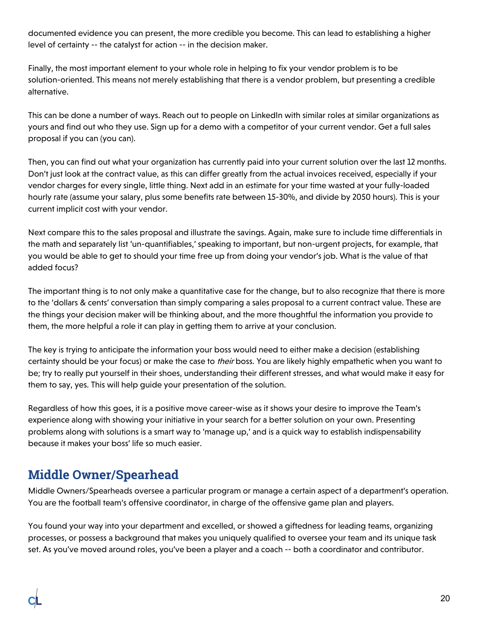documented evidence you can present, the more credible you become. This can lead to establishing a higher level of certainty -- the catalyst for action -- in the decision maker.

Finally, the most important element to your whole role in helping to fix your vendor problem is to be solution-oriented. This means not merely establishing that there is a vendor problem, but presenting a credible alternative.

This can be done a number of ways. Reach out to people on LinkedIn with similar roles at similar organizations as yours and find out who they use. Sign up for a demo with a competitor of your current vendor. Get a full sales proposal if you can (you can).

Then, you can find out what your organization has currently paid into your current solution over the last 12 months. Don't just look at the contract value, as this can differ greatly from the actual invoices received, especially if your vendor charges for every single, little thing. Next add in an estimate for your time wasted at your fully-loaded hourly rate (assume your salary, plus some benefits rate between 15-30%, and divide by 2050 hours). This is your current implicit cost with your vendor.

Next compare this to the sales proposal and illustrate the savings. Again, make sure to include time differentials in the math and separately list 'un-quantifiables,' speaking to important, but non-urgent projects, for example, that you would be able to get to should your time free up from doing your vendor's job. What is the value of that added focus?

The important thing is to not only make a quantitative case for the change, but to also recognize that there is more to the 'dollars & cents' conversation than simply comparing a sales proposal to a current contract value. These are the things your decision maker will be thinking about, and the more thoughtful the information you provide to them, the more helpful a role it can play in getting them to arrive at your conclusion.

The key is trying to anticipate the information your boss would need to either make a decision (establishing certainty should be your focus) or make the case to their boss. You are likely highly empathetic when you want to be; try to really put yourself in their shoes, understanding their different stresses, and what would make it easy for them to say, yes. This will help guide your presentation of the solution.

Regardless of how this goes, it is a positive move career-wise as it shows your desire to improve the Team's experience along with showing your initiative in your search for a better solution on your own. Presenting problems along with solutions is a smart way to 'manage up,' and is a quick way to establish indispensability because it makes your boss' life so much easier.

### <span id="page-19-0"></span>**Middle Owner/Spearhead**

Middle Owners/Spearheads oversee a particular program or manage a certain aspect of a department's operation. You are the football team's offensive coordinator, in charge of the offensive game plan and players.

You found your way into your department and excelled, or showed a giftedness for leading teams, organizing processes, or possess a background that makes you uniquely qualified to oversee your team and its unique task set. As you've moved around roles, you've been a player and a coach -- both a coordinator and contributor.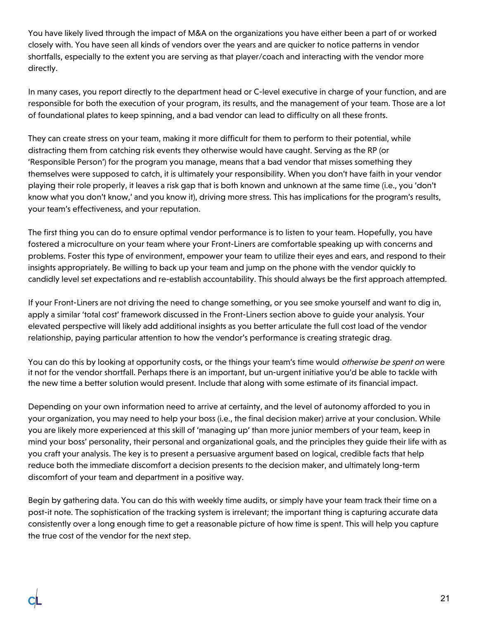You have likely lived through the impact of M&A on the organizations you have either been a part of or worked closely with. You have seen all kinds of vendors over the years and are quicker to notice patterns in vendor shortfalls, especially to the extent you are serving as that player/coach and interacting with the vendor more directly.

In many cases, you report directly to the department head or C-level executive in charge of your function, and are responsible for both the execution of your program, its results, and the management of your team. Those are a lot of foundational plates to keep spinning, and a bad vendor can lead to difficulty on all these fronts.

They can create stress on your team, making it more difficult for them to perform to their potential, while distracting them from catching risk events they otherwise would have caught. Serving as the RP (or 'Responsible Person') for the program you manage, means that a bad vendor that misses something they themselves were supposed to catch, it is ultimately your responsibility. When you don't have faith in your vendor playing their role properly, it leaves a risk gap that is both known and unknown at the same time (i.e., you 'don't know what you don't know,' and you know it), driving more stress. This has implications for the program's results, your team's effectiveness, and your reputation.

The first thing you can do to ensure optimal vendor performance is to listen to your team. Hopefully, you have fostered a microculture on your team where your Front-Liners are comfortable speaking up with concerns and problems. Foster this type of environment, empower your team to utilize their eyes and ears, and respond to their insights appropriately. Be willing to back up your team and jump on the phone with the vendor quickly to candidly level set expectations and re-establish accountability. This should always be the first approach attempted.

If your Front-Liners are not driving the need to change something, or you see smoke yourself and want to dig in, apply a similar 'total cost' framework discussed in the Front-Liners section above to guide your analysis. Your elevated perspective will likely add additional insights as you better articulate the full cost load of the vendor relationship, paying particular attention to how the vendor's performance is creating strategic drag.

You can do this by looking at opportunity costs, or the things your team's time would *otherwise be spent on* were it not for the vendor shortfall. Perhaps there is an important, but un-urgent initiative you'd be able to tackle with the new time a better solution would present. Include that along with some estimate of its financial impact.

Depending on your own information need to arrive at certainty, and the level of autonomy afforded to you in your organization, you may need to help your boss (i.e., the final decision maker) arrive at your conclusion. While you are likely more experienced at this skill of 'managing up' than more junior members of your team, keep in mind your boss' personality, their personal and organizational goals, and the principles they guide their life with as you craft your analysis. The key is to present a persuasive argument based on logical, credible facts that help reduce both the immediate discomfort a decision presents to the decision maker, and ultimately long-term discomfort of your team and department in a positive way.

Begin by gathering data. You can do this with weekly time audits, or simply have your team track their time on a post-it note. The sophistication of the tracking system is irrelevant; the important thing is capturing accurate data consistently over a long enough time to get a reasonable picture of how time is spent. This will help you capture the true cost of the vendor for the next step.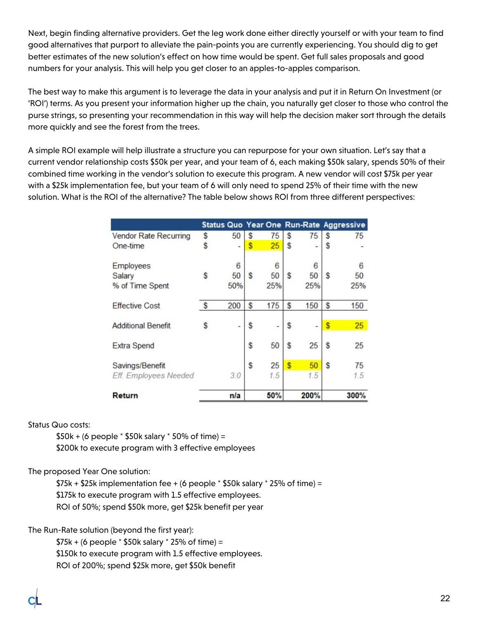Next, begin finding alternative providers. Get the leg work done either directly yourself or with your team to find good alternatives that purport to alleviate the pain-points you are currently experiencing. You should dig to get better estimates of the new solution's effect on how time would be spent. Get full sales proposals and good numbers for your analysis. This will help you get closer to an apples-to-apples comparison.

The best way to make this argument is to leverage the data in your analysis and put it in Return On Investment (or 'ROI') terms. As you present your information higher up the chain, you naturally get closer to those who control the purse strings, so presenting your recommendation in this way will help the decision maker sort through the details more quickly and see the forest from the trees.

A simple ROI example will help illustrate a structure you can repurpose for your own situation. Let's say that a current vendor relationship costs \$50k per year, and your team of 6, each making \$50k salary, spends 50% of their combined time working in the vendor's solution to execute this program. A new vendor will cost \$75k per year with a \$25k implementation fee, but your team of 6 will only need to spend 25% of their time with the new solution. What is the ROI of the alternative? The table below shows ROI from three different perspectives:

|                              |   | Status Quo Year One Run-Rate Aggressive |    |            |    |             |              |             |
|------------------------------|---|-----------------------------------------|----|------------|----|-------------|--------------|-------------|
| <b>Vendor Rate Recurring</b> | S | 50                                      | S  | 75         | S  | 75          | S            | 75          |
| One-time                     |   | ۰                                       | \$ | 25         | \$ |             | S            |             |
| <b>Employees</b>             |   | 6                                       |    | 6          |    | 6           |              | 6           |
| Salary                       | S | 50                                      | S  | 50         | S  | 50          | S            | 50          |
| % of Time Spent              |   | 50%                                     |    | 25%        |    | 25%         |              | 25%         |
| <b>Effective Cost</b>        | S | 200                                     | S  | 175        | S  | 150         | S            | 150         |
| <b>Additional Benefit</b>    |   |                                         | \$ |            | S  |             | <sup>s</sup> | 25          |
| <b>Extra Spend</b>           |   |                                         | \$ | 50         | S  | 25          | S            | 25          |
| Savings/Benefit              |   |                                         | \$ | 25         | S  | 50          | S            | 75          |
| Eff. Employees Needed        |   | 3.0                                     |    | 1.5        |    | 1.5         |              | 1.5         |
| Return                       |   | n/a                                     |    | <b>50%</b> |    | <b>200%</b> |              | <b>300%</b> |

#### Status Quo costs:

 $$50k + (6 \text{ people} * $50k \text{ salary} * 50\% \text{ of time}) =$ \$200k to execute program with 3 effective employees

#### The proposed Year One solution:

 $$75k + $25k$  implementation fee + (6 people  $*$  \$50k salary  $*$  25% of time) = \$175k to execute program with 1.5 effective employees. ROI of 50%; spend \$50k more, get \$25k benefit per year

The Run-Rate solution (beyond the first year):

 $$75k + (6 people * $50k salary * 25% of time) =$ \$150k to execute program with 1.5 effective employees. ROI of 200%; spend \$25k more, get \$50k benefit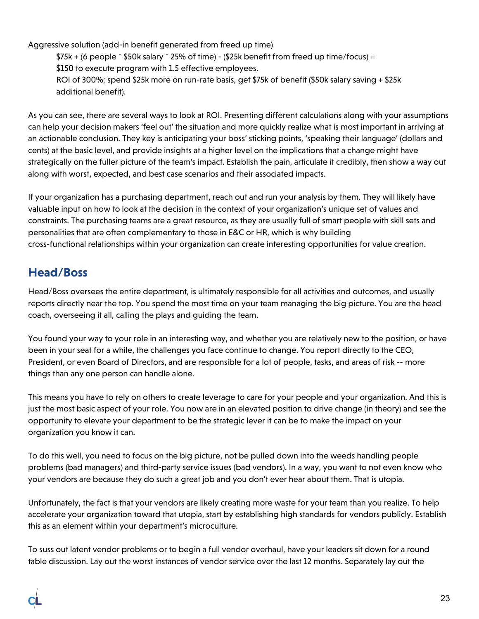Aggressive solution (add-in benefit generated from freed up time)

 $$75k + (6 people * $50k salary * 25% of time) - ($25k benefit from freed up time/focus) =$ \$150 to execute program with 1.5 effective employees. ROI of 300%; spend \$25k more on run-rate basis, get \$75k of benefit (\$50k salary saving + \$25k additional benefit).

As you can see, there are several ways to look at ROI. Presenting different calculations along with your assumptions can help your decision makers 'feel out' the situation and more quickly realize what is most important in arriving at an actionable conclusion. They key is anticipating your boss' sticking points, 'speaking their language' (dollars and cents) at the basic level, and provide insights at a higher level on the implications that a change might have strategically on the fuller picture of the team's impact. Establish the pain, articulate it credibly, then show a way out along with worst, expected, and best case scenarios and their associated impacts.

If your organization has a purchasing department, reach out and run your analysis by them. They will likely have valuable input on how to look at the decision in the context of your organization's unique set of values and constraints. The purchasing teams are a great resource, as they are usually full of smart people with skill sets and personalities that are often complementary to those in E&C or HR, which is why building cross-functional relationships within your organization can create interesting opportunities for value creation.

#### <span id="page-22-0"></span>**Head/Boss**

Head/Boss oversees the entire department, is ultimately responsible for all activities and outcomes, and usually reports directly near the top. You spend the most time on your team managing the big picture. You are the head coach, overseeing it all, calling the plays and guiding the team.

You found your way to your role in an interesting way, and whether you are relatively new to the position, or have been in your seat for a while, the challenges you face continue to change. You report directly to the CEO, President, or even Board of Directors, and are responsible for a lot of people, tasks, and areas of risk -- more things than any one person can handle alone.

This means you have to rely on others to create leverage to care for your people and your organization. And this is just the most basic aspect of your role. You now are in an elevated position to drive change (in theory) and see the opportunity to elevate your department to be the strategic lever it can be to make the impact on your organization you know it can.

To do this well, you need to focus on the big picture, not be pulled down into the weeds handling people problems (bad managers) and third-party service issues (bad vendors). In a way, you want to not even know who your vendors are because they do such a great job and you don't ever hear about them. That is utopia.

Unfortunately, the fact is that your vendors are likely creating more waste for your team than you realize. To help accelerate your organization toward that utopia, start by establishing high standards for vendors publicly. Establish this as an element within your department's microculture.

To suss out latent vendor problems or to begin a full vendor overhaul, have your leaders sit down for a round table discussion. Lay out the worst instances of vendor service over the last 12 months. Separately lay out the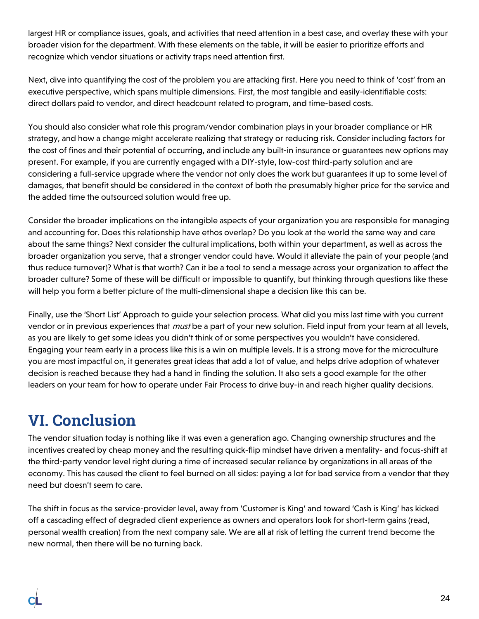largest HR or compliance issues, goals, and activities that need attention in a best case, and overlay these with your broader vision for the department. With these elements on the table, it will be easier to prioritize efforts and recognize which vendor situations or activity traps need attention first.

Next, dive into quantifying the cost of the problem you are attacking first. Here you need to think of 'cost' from an executive perspective, which spans multiple dimensions. First, the most tangible and easily-identifiable costs: direct dollars paid to vendor, and direct headcount related to program, and time-based costs.

You should also consider what role this program/vendor combination plays in your broader compliance or HR strategy, and how a change might accelerate realizing that strategy or reducing risk. Consider including factors for the cost of fines and their potential of occurring, and include any built-in insurance or guarantees new options may present. For example, if you are currently engaged with a DIY-style, low-cost third-party solution and are considering a full-service upgrade where the vendor not only does the work but guarantees it up to some level of damages, that benefit should be considered in the context of both the presumably higher price for the service and the added time the outsourced solution would free up.

Consider the broader implications on the intangible aspects of your organization you are responsible for managing and accounting for. Does this relationship have ethos overlap? Do you look at the world the same way and care about the same things? Next consider the cultural implications, both within your department, as well as across the broader organization you serve, that a stronger vendor could have. Would it alleviate the pain of your people (and thus reduce turnover)? What is that worth? Can it be a tool to send a message across your organization to affect the broader culture? Some of these will be difficult or impossible to quantify, but thinking through questions like these will help you form a better picture of the multi-dimensional shape a decision like this can be.

Finally, use the 'Short List' Approach to guide your selection process. What did you miss last time with you current vendor or in previous experiences that *must* be a part of your new solution. Field input from your team at all levels, as you are likely to get some ideas you didn't think of or some perspectives you wouldn't have considered. Engaging your team early in a process like this is a win on multiple levels. It is a strong move for the microculture you are most impactful on, it generates great ideas that add a lot of value, and helps drive adoption of whatever decision is reached because they had a hand in finding the solution. It also sets a good example for the other leaders on your team for how to operate under Fair Process to drive buy-in and reach higher quality decisions.

## <span id="page-23-0"></span>**VI. Conclusion**

The vendor situation today is nothing like it was even a generation ago. Changing ownership structures and the incentives created by cheap money and the resulting quick-flip mindset have driven a mentality- and focus-shift at the third-party vendor level right during a time of increased secular reliance by organizations in all areas of the economy. This has caused the client to feel burned on all sides: paying a lot for bad service from a vendor that they need but doesn't seem to care.

The shift in focus as the service-provider level, away from 'Customer is King' and toward 'Cash is King' has kicked off a cascading effect of degraded client experience as owners and operators look for short-term gains (read, personal wealth creation) from the next company sale. We are all at risk of letting the current trend become the new normal, then there will be no turning back.